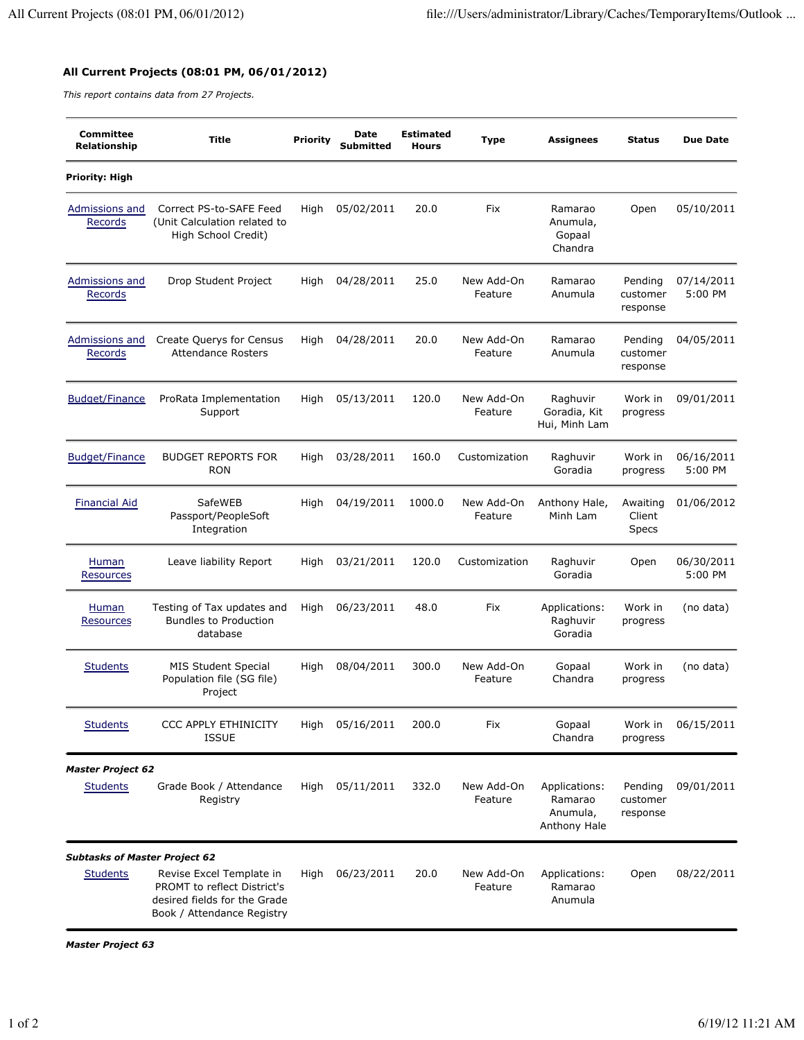## **All Current Projects (08:01 PM, 06/01/2012)**

*This report contains data from 27 Projects.*

| <b>Committee</b><br>Relationship     | <b>Title</b>                                                                                                          | <b>Priority</b> | Date<br>Submitted | <b>Estimated</b><br><b>Hours</b> | Type                  | <b>Assignees</b>                                     | Status                          | <b>Due Date</b>       |
|--------------------------------------|-----------------------------------------------------------------------------------------------------------------------|-----------------|-------------------|----------------------------------|-----------------------|------------------------------------------------------|---------------------------------|-----------------------|
| Priority: High                       |                                                                                                                       |                 |                   |                                  |                       |                                                      |                                 |                       |
| Admissions and<br>Records            | Correct PS-to-SAFE Feed<br>(Unit Calculation related to<br>High School Credit)                                        | High            | 05/02/2011        | 20.0                             | Fix                   | Ramarao<br>Anumula,<br>Gopaal<br>Chandra             | Open                            | 05/10/2011            |
| Admissions and<br>Records            | Drop Student Project                                                                                                  | High            | 04/28/2011        | 25.0                             | New Add-On<br>Feature | Ramarao<br>Anumula                                   | Pending<br>customer<br>response | 07/14/2011<br>5:00 PM |
| Admissions and<br>Records            | <b>Create Querys for Census</b><br><b>Attendance Rosters</b>                                                          | High            | 04/28/2011        | 20.0                             | New Add-On<br>Feature | Ramarao<br>Anumula                                   | Pending<br>customer<br>response | 04/05/2011            |
| <b>Budget/Finance</b>                | ProRata Implementation<br>Support                                                                                     | High            | 05/13/2011        | 120.0                            | New Add-On<br>Feature | Raghuvir<br>Goradia, Kit<br>Hui, Minh Lam            | Work in<br>progress             | 09/01/2011            |
| <b>Budget/Finance</b>                | <b>BUDGET REPORTS FOR</b><br><b>RON</b>                                                                               | High            | 03/28/2011        | 160.0                            | Customization         | Raghuvir<br>Goradia                                  | Work in<br>progress             | 06/16/2011<br>5:00 PM |
| <b>Financial Aid</b>                 | SafeWEB<br>Passport/PeopleSoft<br>Integration                                                                         | High            | 04/19/2011        | 1000.0                           | New Add-On<br>Feature | Anthony Hale,<br>Minh Lam                            | Awaiting<br>Client<br>Specs     | 01/06/2012            |
| Human<br>Resources                   | Leave liability Report                                                                                                | High            | 03/21/2011        | 120.0                            | Customization         | Raghuvir<br>Goradia                                  | Open                            | 06/30/2011<br>5:00 PM |
| <b>Human</b><br><b>Resources</b>     | Testing of Tax updates and<br><b>Bundles to Production</b><br>database                                                | High            | 06/23/2011        | 48.0                             | Fix                   | Applications:<br>Raghuvir<br>Goradia                 | Work in<br>progress             | (no data)             |
| <b>Students</b>                      | <b>MIS Student Special</b><br>Population file (SG file)<br>Project                                                    | High            | 08/04/2011        | 300.0                            | New Add-On<br>Feature | Gopaal<br>Chandra                                    | Work in<br>progress             | (no data)             |
| <b>Students</b>                      | <b>CCC APPLY ETHINICITY</b><br><b>ISSUE</b>                                                                           | High            | 05/16/2011        | 200.0                            | Fix                   | Gopaal<br>Chandra                                    | Work in<br>progress             | 06/15/2011            |
| <b>Master Project 62</b>             |                                                                                                                       |                 |                   |                                  |                       |                                                      |                                 |                       |
| <b>Students</b>                      | Grade Book / Attendance<br>Registry                                                                                   | High            | 05/11/2011        | 332.0                            | New Add-On<br>Feature | Applications:<br>Ramarao<br>Anumula,<br>Anthony Hale | Pending<br>customer<br>response | 09/01/2011            |
| <b>Subtasks of Master Project 62</b> |                                                                                                                       |                 |                   |                                  |                       |                                                      |                                 |                       |
| <b>Students</b>                      | Revise Excel Template in<br>PROMT to reflect District's<br>desired fields for the Grade<br>Book / Attendance Registry | High            | 06/23/2011        | 20.0                             | New Add-On<br>Feature | Applications:<br>Ramarao<br>Anumula                  | Open                            | 08/22/2011            |

*Master Project 63*